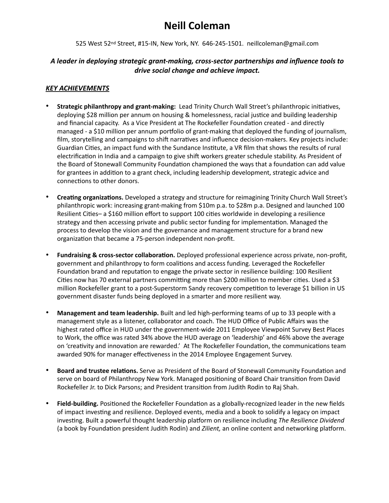# **Neill Coleman**

525 West 52nd Street, #15-IN, New York, NY. 646-245-1501. neillcoleman@gmail.com

#### *A leader in deploying strategic grant-making, cross-sector partnerships and influence tools to drive social change and achieve impact.*

#### *KEY ACHIEVEMENTS*

- **Strategic philanthropy and grant-making:** Lead Trinity Church Wall Street's philanthropic initiatives, deploying \$28 million per annum on housing & homelessness, racial justice and building leadership and financial capacity. As a Vice President at The Rockefeller Foundation created - and directly managed - a \$10 million per annum portfolio of grant-making that deployed the funding of journalism, film, storytelling and campaigns to shift narratives and influence decision-makers. Key projects include: Guardian Cities, an impact fund with the Sundance Institute, a VR film that shows the results of rural electrification in India and a campaign to give shift workers greater schedule stability. As President of the Board of Stonewall Community Foundation championed the ways that a foundation can add value for grantees in addition to a grant check, including leadership development, strategic advice and connections to other donors.
- **Creating organizations.** Developed a strategy and structure for reimagining Trinity Church Wall Street's philanthropic work: increasing grant-making from \$10m p.a. to \$28m p.a. Designed and launched 100 Resilient Cities- a \$160 million effort to support 100 cities worldwide in developing a resilience strategy and then accessing private and public sector funding for implementation. Managed the process to develop the vision and the governance and management structure for a brand new organization that became a 75-person independent non-profit.
- **Fundraising & cross-sector collabora7on.** Deployed professional experience across private, non-profit, government and philanthropy to form coalitions and access funding. Leveraged the Rockefeller Foundation brand and reputation to engage the private sector in resilience building: 100 Resilient Cities now has 70 external partners committing more than \$200 million to member cities. Used a \$3 million Rockefeller grant to a post-Superstorm Sandy recovery competition to leverage \$1 billion in US government disaster funds being deployed in a smarter and more resilient way.
- **Management and team leadership.** Built and led high-performing teams of up to 33 people with a management style as a listener, collaborator and coach. The HUD Office of Public Affairs was the highest rated office in HUD under the government-wide 2011 Employee Viewpoint Survey Best Places to Work, the office was rated 34% above the HUD average on 'leadership' and 46% above the average on 'creativity and innovation are rewarded.' At The Rockefeller Foundation, the communications team awarded 90% for manager effectiveness in the 2014 Employee Engagement Survey.
- **Board and trustee relations.** Serve as President of the Board of Stonewall Community Foundation and serve on board of Philanthropy New York. Managed positioning of Board Chair transition from David Rockefeller Jr. to Dick Parsons; and President transition from Judith Rodin to Raj Shah.
- Field-building. Positioned the Rockefeller Foundation as a globally-recognized leader in the new fields of impact investing and resilience. Deployed events, media and a book to solidify a legacy on impact investing. Built a powerful thought leadership platform on resilience including *The Resilience Dividend* (a book by Foundation president Judith Rodin) and *Zilient*, an online content and networking platform.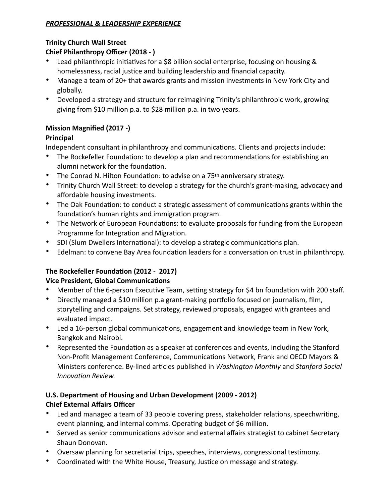### *PROFESSIONAL & LEADERSHIP EXPERIENCE*

### **Trinity Church Wall Street**

## **Chief Philanthropy Officer (2018 - )**

- Lead philanthropic initiatives for a \$8 billion social enterprise, focusing on housing & homelessness, racial justice and building leadership and financial capacity.
- Manage a team of 20+ that awards grants and mission investments in New York City and globally.
- Developed a strategy and structure for reimagining Trinity's philanthropic work, growing giving from \$10 million p.a. to \$28 million p.a. in two years.

## **Mission Magnified (2017 -)**

## **Principal**

Independent consultant in philanthropy and communications. Clients and projects include:

- The Rockefeller Foundation: to develop a plan and recommendations for establishing an alumni network for the foundation.
- The Conrad N. Hilton Foundation: to advise on a  $75<sup>th</sup>$  anniversary strategy.
- Trinity Church Wall Street: to develop a strategy for the church's grant-making, advocacy and affordable housing investments.
- The Oak Foundation: to conduct a strategic assessment of communications grants within the foundation's human rights and immigration program.
- The Network of European Foundations: to evaluate proposals for funding from the European Programme for Integration and Migration.
- SDI (Slum Dwellers International): to develop a strategic communications plan.
- Edelman: to convene Bay Area foundation leaders for a conversation on trust in philanthropy.

## The Rockefeller Foundation (2012 - 2017)

## **Vice President, Global Communications**

- Member of the 6-person Executive Team, setting strategy for \$4 bn foundation with 200 staff.
- Directly managed a \$10 million p.a grant-making portfolio focused on journalism, film, storytelling and campaigns. Set strategy, reviewed proposals, engaged with grantees and evaluated impact.
- Led a 16-person global communications, engagement and knowledge team in New York, Bangkok and Nairobi.
- Represented the Foundation as a speaker at conferences and events, including the Stanford Non-Profit Management Conference, Communications Network, Frank and OECD Mayors & Ministers conference. By-lined articles published in *Washington Monthly* and *Stanford Social Innovation Review.*

## **U.S. Department of Housing and Urban Development (2009 - 2012) Chief External Affairs Officer**

- Led and managed a team of 33 people covering press, stakeholder relations, speechwriting, event planning, and internal comms. Operating budget of \$6 million.
- Served as senior communications advisor and external affairs strategist to cabinet Secretary Shaun Donovan.
- Oversaw planning for secretarial trips, speeches, interviews, congressional testimony.
- Coordinated with the White House, Treasury, Justice on message and strategy.